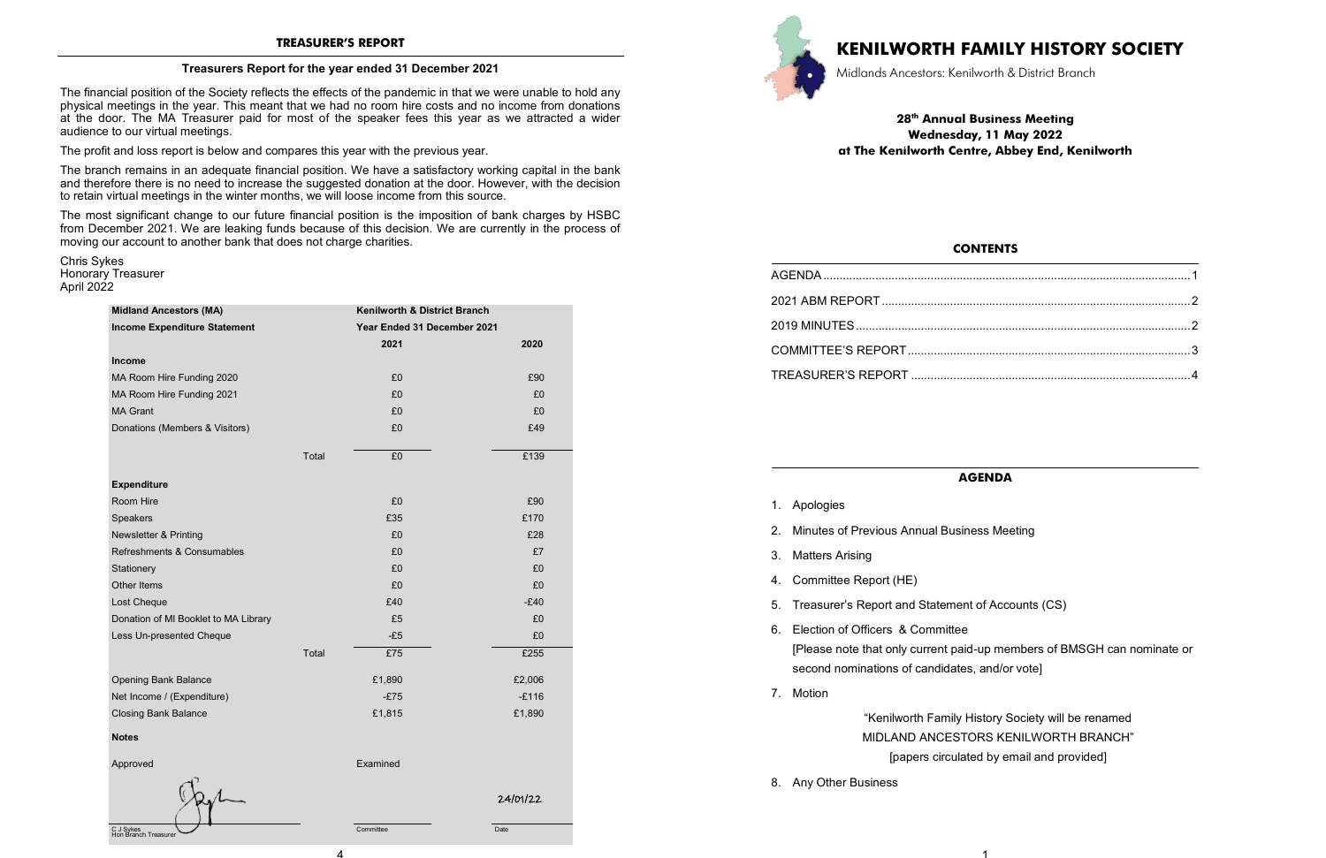4

Committee Date

#### **Treasurers Report for the year ended 31 December 2021**

The financial position of the Society reflects the effects of the pandemic in that we were unable to hold any physical meetings in the year. This meant that we had no room hire costs and no income from donations at the door. The MA Treasurer paid for most of the speaker fees this year as we attracted a wider audience to our virtual meetings.

The profit and loss report is below and compares this year with the previous year.

The branch remains in an adequate financial position. We have a satisfactory working capital in the bank and therefore there is no need to increase the suggested donation at the door. However, with the decision to retain virtual meetings in the winter months, we will loose income from this source.

The most significant change to our future financial position is the imposition of bank charges by HSBC from December 2021. We are leaking funds because of this decision. We are currently in the process of moving our account to another bank that does not charge charities.

Chris Sykes Honorary Treasurer April 2022

| <b>Midland Ancestors (MA)</b>        |                                                             |          |          |
|--------------------------------------|-------------------------------------------------------------|----------|----------|
| <b>Income Expenditure Statement</b>  | Kenilworth & District Branch<br>Year Ended 31 December 2021 |          |          |
|                                      |                                                             |          |          |
|                                      |                                                             | 2021     | 2020     |
| Income                               |                                                             |          |          |
| MA Room Hire Funding 2020            |                                                             | £0       | £90      |
| MA Room Hire Funding 2021            |                                                             | £0       | £0       |
| <b>MA Grant</b>                      |                                                             | £0       | £0       |
| Donations (Members & Visitors)       |                                                             | £0       | £49      |
|                                      |                                                             |          |          |
|                                      | Total                                                       | £0       | £139     |
| <b>Expenditure</b>                   |                                                             |          |          |
| Room Hire                            |                                                             | £0       | £90      |
| Speakers                             |                                                             | £35      | £170     |
| <b>Newsletter &amp; Printing</b>     |                                                             | £0       | £28      |
| Refreshments & Consumables           |                                                             | £0       | £7       |
| Stationery                           |                                                             | £0       | £0       |
| Other Items                          |                                                             | £0       | £0       |
| Lost Cheque                          |                                                             | £40      | $-E40$   |
| Donation of MI Booklet to MA Library |                                                             | £5       | £0       |
| Less Un-presented Cheque             |                                                             | $-E5$    | £0       |
|                                      | Total                                                       | £75      | £255     |
| <b>Opening Bank Balance</b>          |                                                             | £1,890   | £2,006   |
| Net Income / (Expenditure)           |                                                             | $-E75$   | $-E116$  |
| <b>Closing Bank Balance</b>          |                                                             | £1,815   | £1,890   |
| <b>Notes</b>                         |                                                             |          |          |
|                                      |                                                             |          |          |
| Approved                             |                                                             | Examined |          |
|                                      |                                                             |          | 24/01/22 |



C J Sykes Hon Branch Treasurer

# **KENILWORTH FAMILY HISTORY SOCIETY**

Midlands Ancestors: Kenilworth & District Branch

**28th Annual Business Meeting Wednesday, 11 May 2022 at The Kenilworth Centre, Abbey End, Kenilworth** 

| 2021 ABM REPORT            |
|----------------------------|
|                            |
| COMMITTEE'S REPORT         |
| <b>TREASURER'S REPORT </b> |

## **CONTENTS**

### **AGENDA**

- 1. Apologies
- 2. Minutes of Previous Annual Business Meeting
- 3. Matters Arising
- 4. Committee Report (HE)
- 5. Treasurer's Report and Statement of Accounts (CS)
- 6. Election of Officers & Committee second nominations of candidates, and/or vote]
- 7. Motion

[Please note that only current paid-up members of BMSGH can nominate or

"Kenilworth Family History Society will be renamed MIDLAND ANCESTORS KENILWORTH BRANCH" [papers circulated by email and provided]

8. Any Other Business